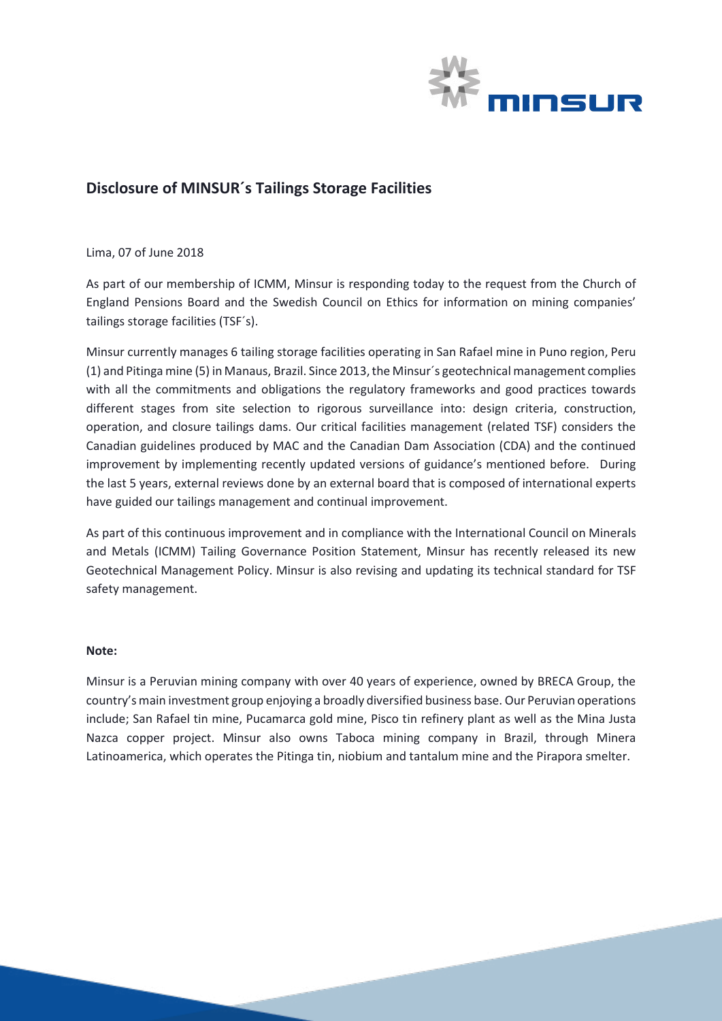

## **Disclosure of MINSUR´s Tailings Storage Facilities**

Lima, 07 of June 2018

As part of our membership of ICMM, Minsur is responding today to the request from the Church of England Pensions Board and the Swedish Council on Ethics for information on mining companies' tailings storage facilities (TSF´s).

Minsur currently manages 6 tailing storage facilities operating in San Rafael mine in Puno region, Peru (1) and Pitinga mine (5) in Manaus, Brazil. Since 2013, the Minsur´s geotechnical management complies with all the commitments and obligations the regulatory frameworks and good practices towards different stages from site selection to rigorous surveillance into: design criteria, construction, operation, and closure tailings dams. Our critical facilities management (related TSF) considers the Canadian guidelines produced by MAC and the Canadian Dam Association (CDA) and the continued improvement by implementing recently updated versions of guidance's mentioned before. During the last 5 years, external reviews done by an external board that is composed of international experts have guided our tailings management and continual improvement.

As part of this continuous improvement and in compliance with the International Council on Minerals and Metals (ICMM) Tailing Governance Position Statement, Minsur has recently released its new Geotechnical Management Policy. Minsur is also revising and updating its technical standard for TSF safety management.

## **Note:**

Minsur is a Peruvian mining company with over 40 years of experience, owned by BRECA Group, the country's main investment group enjoying a broadly diversified business base. Our Peruvian operations include; San Rafael tin mine, Pucamarca gold mine, Pisco tin refinery plant as well as the Mina Justa Nazca copper project. Minsur also owns Taboca mining company in Brazil, through Minera Latinoamerica, which operates the Pitinga tin, niobium and tantalum mine and the Pirapora smelter.